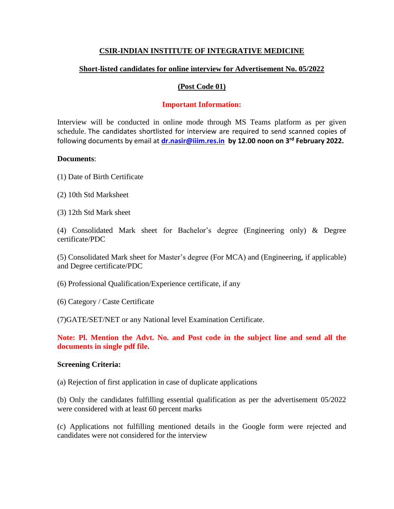# **CSIR-INDIAN INSTITUTE OF INTEGRATIVE MEDICINE**

# **Short-listed candidates for online interview for Advertisement No. 05/2022**

## **(Post Code 01)**

## **Important Information:**

Interview will be conducted in online mode through MS Teams platform as per given schedule. The candidates shortlisted for interview are required to send scanned copies of following documents by email at **[dr.nasir@iiim.res.in](mailto:dr.nasir@iiim.res.in) by 12.00 noon on 3rd February 2022.** 

#### **Documents**:

(1) Date of Birth Certificate

- (2) 10th Std Marksheet
- (3) 12th Std Mark sheet

(4) Consolidated Mark sheet for Bachelor's degree (Engineering only) & Degree certificate/PDC

(5) Consolidated Mark sheet for Master's degree (For MCA) and (Engineering, if applicable) and Degree certificate/PDC

- (6) Professional Qualification/Experience certificate, if any
- (6) Category / Caste Certificate

(7)GATE/SET/NET or any National level Examination Certificate.

**Note: Pl. Mention the Advt. No. and Post code in the subject line and send all the documents in single pdf file.** 

#### **Screening Criteria:**

(a) Rejection of first application in case of duplicate applications

(b) Only the candidates fulfilling essential qualification as per the advertisement 05/2022 were considered with at least 60 percent marks

(c) Applications not fulfilling mentioned details in the Google form were rejected and candidates were not considered for the interview